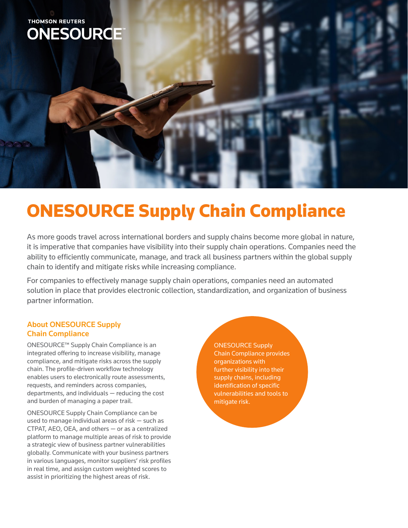

## ONESOURCE Supply Chain Compliance

As more goods travel across international borders and supply chains become more global in nature, it is imperative that companies have visibility into their supply chain operations. Companies need the ability to efficiently communicate, manage, and track all business partners within the global supply chain to identify and mitigate risks while increasing compliance.

For companies to effectively manage supply chain operations, companies need an automated solution in place that provides electronic collection, standardization, and organization of business partner information.

## About ONESOURCE Supply Chain Compliance

ONESOURCE™ Supply Chain Compliance is an integrated offering to increase visibility, manage compliance, and mitigate risks across the supply chain. The profile-driven workflow technology enables users to electronically route assessments, requests, and reminders across companies, departments, and individuals — reducing the cost and burden of managing a paper trail.

ONESOURCE Supply Chain Compliance can be used to manage individual areas of risk — such as CTPAT, AEO, OEA, and others — or as a centralized platform to manage multiple areas of risk to provide a strategic view of business partner vulnerabilities globally. Communicate with your business partners in various languages, monitor suppliers' risk profiles in real time, and assign custom weighted scores to assist in prioritizing the highest areas of risk.

ONESOURCE Supply Chain Compliance provides organizations with further visibility into their supply chains, including identification of specific vulnerabilities and tools to mitigate risk.